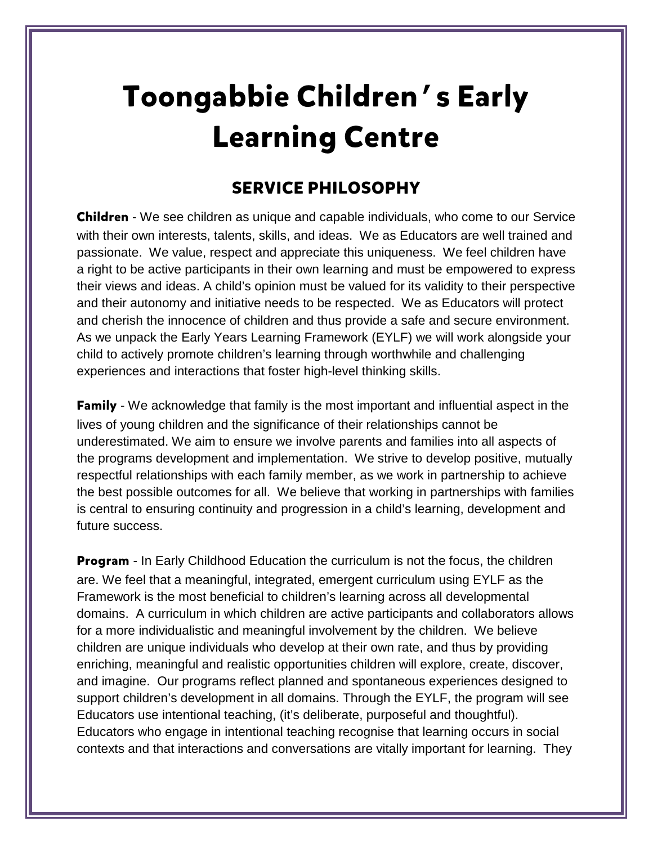## **Toongabbie Children's Early Learning Centre**

## **SERVICE PHILOSOPHY**

**Children** - We see children as unique and capable individuals, who come to our Service with their own interests, talents, skills, and ideas. We as Educators are well trained and passionate. We value, respect and appreciate this uniqueness. We feel children have a right to be active participants in their own learning and must be empowered to express their views and ideas. A child's opinion must be valued for its validity to their perspective and their autonomy and initiative needs to be respected. We as Educators will protect and cherish the innocence of children and thus provide a safe and secure environment. As we unpack the Early Years Learning Framework (EYLF) we will work alongside your child to actively promote children's learning through worthwhile and challenging experiences and interactions that foster high-level thinking skills.

**Family** - We acknowledge that family is the most important and influential aspect in the lives of young children and the significance of their relationships cannot be underestimated. We aim to ensure we involve parents and families into all aspects of the programs development and implementation. We strive to develop positive, mutually respectful relationships with each family member, as we work in partnership to achieve the best possible outcomes for all. We believe that working in partnerships with families is central to ensuring continuity and progression in a child's learning, development and future success.

**Program** - In Early Childhood Education the curriculum is not the focus, the children are. We feel that a meaningful, integrated, emergent curriculum using EYLF as the Framework is the most beneficial to children's learning across all developmental domains. A curriculum in which children are active participants and collaborators allows for a more individualistic and meaningful involvement by the children. We believe children are unique individuals who develop at their own rate, and thus by providing enriching, meaningful and realistic opportunities children will explore, create, discover, and imagine. Our programs reflect planned and spontaneous experiences designed to support children's development in all domains. Through the EYLF, the program will see Educators use intentional teaching, (it's deliberate, purposeful and thoughtful). Educators who engage in intentional teaching recognise that learning occurs in social contexts and that interactions and conversations are vitally important for learning. They